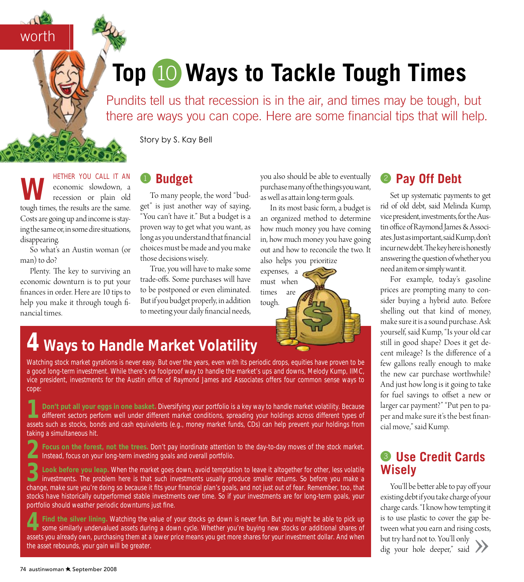# **Top 10 Ways to Tackle Tough Times** 10

Pundits tell us that recession is in the air, and times may be tough, but there are ways you can cope. Here are some financial tips that will help.

Story by S. Kay Bell

**WETHER YOU CALL IT AN**<br>economic slowdown, a<br>recession or plain old economic slowdown, a recession or plain old tough times, the results are the same. Costs are going up and income is staying the same or, in some dire situations, disappearing.

worth

So what's an Austin woman (or man) to do?

Plenty. The key to surviving an economic downturn is to put your finances in order. Here are 10 tips to help you make it through tough financial times.

#### <sup>1</sup> **Budget**

To many people, the word "budget" is just another way of saying, "You can't have it." But a budget is a proven way to get what you want, as long as you understand that financial choices must be made and you make those decisions wisely.

True, you will have to make some trade-offs. Some purchases will have to be postponed or even eliminated. But if you budget properly, in addition to meeting your daily financial needs, you also should be able to eventually purchase many of the things you want, as well as attain long-term goals.

In its most basic form, a budget is an organized method to determine how much money you have coming in, how much money you have going out and how to reconcile the two. It also helps you prioritize

expenses, a must when times are tough.

#### <sup>2</sup> **Pay Off Debt**

Set up systematic payments to get rid of old debt, said Melinda Kump, vice president, investments, for the Austin office of Raymond James & Associates. Just as important, said Kump, don't incur new debt. The key here is honestly answering the question of whether you need an item or simply want it.

For example, today's gasoline prices are prompting many to consider buying a hybrid auto. Before shelling out that kind of money, make sure it is a sound purchase. Ask yourself, said Kump, "Is your old car still in good shape? Does it get decent mileage? Is the difference of a few gallons really enough to make the new car purchase worthwhile? And just how long is it going to take for fuel savings to offset a new or larger car payment?" "Put pen to paper and make sure it's the best financial move," said Kump.

#### <sup>3</sup> **Use Credit Cards Wisely**

You'll be better able to pay off your existing debt if you take charge of your charge cards. "I know how tempting it is to use plastic to cover the gap between what you earn and rising costs, but try hard not to. You'll only Next try hard not to. You'll only<br>but try hard not to. You'll only<br>dig your hole deeper," said

# **4 Ways to Handle Market Volatility**

Watching stock market gyrations is never easy. But over the years, even with its periodic drops, equities have proven to be a good long-term investment. While there's no foolproof way to handle the market's ups and downs, Melody Kump, IIMC, vice president, investments for the Austin office of Raymond James and Associates offers four common sense ways to cope:

Don't put all your eggs in one basket. Diversifying your portfolio is a key way to handle market volatility. Because<br>different sectors perform well under different market conditions, spreading your holdings across differen assets such as stocks, bonds and cash equivalents (e.g., money market funds, CDs) can help prevent your holdings from taking a simultaneous hit.

**2Focus on the forest, not the trees.** Don't pay inordinate attention to the day-to-day moves of the stock market. Instead, focus on your long-term investing goals and overall portfolio.

**3Look before you leap.** When the market goes down, avoid temptation to leave it altogether for other, less volatile investments. The problem here is that such investments usually produce smaller returns. So before you make a change, make sure you're doing so because it fits your financial plan's goals, and not just out of fear. Remember, too, that stocks have historically outperformed stable investments over time. So if your investments are for long-term goals, your portfolio should weather periodic downturns just fine.

**4Find the silver lining.** Watching the value of your stocks go down is never fun. But you might be able to pick up some similarly undervalued assets during a down cycle. Whether you're buying new stocks or additional shares of assets you already own, purchasing them at a lower price means you get more shares for your investment dollar. And when the asset rebounds, your gain will be greater.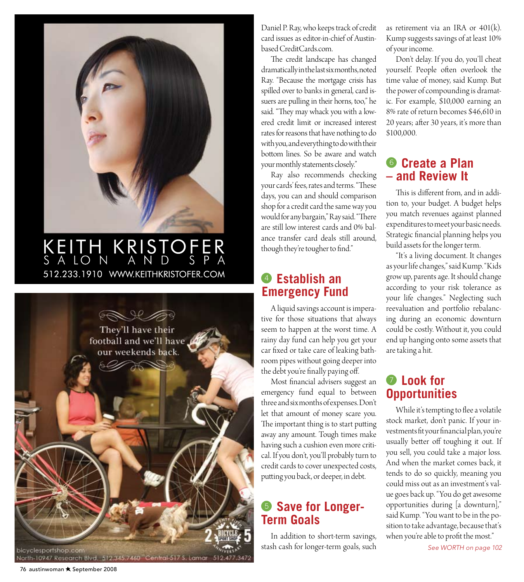

## 512.233.1910 WWW.KEITHKRISTOFER.COM KEITH KRISTOFER SALON AND SPA



Daniel P. Ray, who keeps track of credit card issues as editor-in-chief of Austinbased CreditCards.com.

The credit landscape has changed dramatically in the last six months, noted Ray. "Because the mortgage crisis has spilled over to banks in general, card issuers are pulling in their horns, too," he said. "They may whack you with a lowered credit limit or increased interest rates for reasons that have nothing to do with you, and everything to do with their bottom lines. So be aware and watch your monthly statements closely."

Ray also recommends checking your cards' fees, rates and terms. "These days, you can and should comparison shop for a credit card the same way you would for any bargain," Ray said. "There are still low interest cards and 0% balance transfer card deals still around, though they're tougher to find."

#### <sup>4</sup> **Establish an Emergency Fund**

A liquid savings account is imperative for those situations that always seem to happen at the worst time. A rainy day fund can help you get your car fixed or take care of leaking bathroom pipes without going deeper into the debt you're finally paying off.

Most financial advisers suggest an emergency fund equal to between three and six months of expenses. Don't let that amount of money scare you. The important thing is to start putting away any amount. Tough times make having such a cushion even more critical. If you don't, you'll probably turn to credit cards to cover unexpected costs, putting you back, or deeper, in debt.

#### <sup>5</sup> **Save for Longer-Term Goals**

In addition to short-term savings, stash cash for longer-term goals, such as retirement via an IRA or  $401(k)$ . Kump suggests savings of at least 10% of your income.

Don't delay. If you do, you'll cheat yourself. People often overlook the time value of money, said Kump. But the power of compounding is dramatic. For example, \$10,000 earning an 8% rate of return becomes \$46,610 in 20 years; after 30 years, it's more than \$100,000.

#### <sup>6</sup> **Create a Plan – and Review It**

This is different from, and in addition to, your budget. A budget helps you match revenues against planned expenditures to meet your basic needs. Strategic financial planning helps you build assets for the longer term.

"It's a living document. It changes as your life changes," said Kump. "Kids grow up, parents age. It should change according to your risk tolerance as your life changes." Neglecting such reevaluation and portfolio rebalancing during an economic downturn could be costly. Without it, you could end up hanging onto some assets that are taking a hit.

## <sup>7</sup> **Look for Opportunities**

While it's tempting to flee a volatile stock market, don't panic. If your investments fit your financial plan, you're usually better off toughing it out. If you sell, you could take a major loss. And when the market comes back, it tends to do so quickly, meaning you could miss out as an investment's value goes back up. "You do get awesome opportunities during [a downturn]," said Kump. "You want to be in the position to take advantage, because that's when you're able to profit the most."

*See Worth on page 102*

76 austinwoman \* September 2008